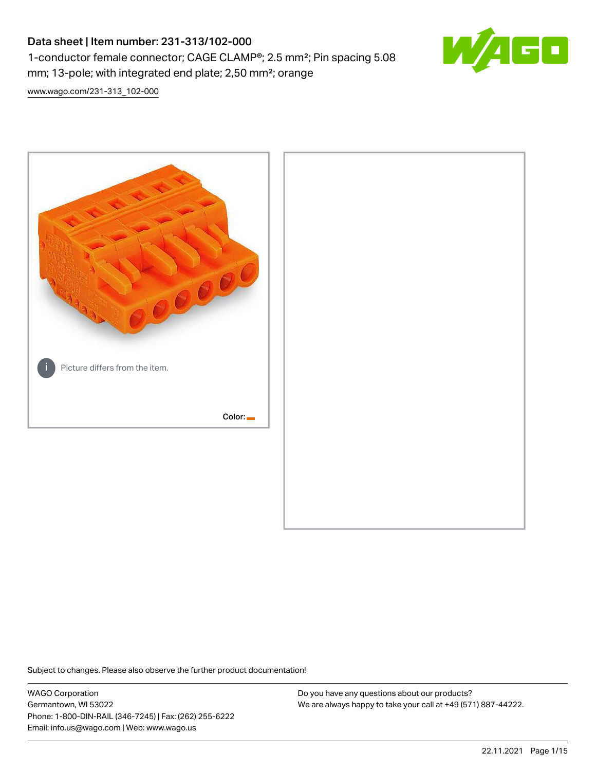# Data sheet | Item number: 231-313/102-000 1-conductor female connector; CAGE CLAMP®; 2.5 mm²; Pin spacing 5.08 mm; 13-pole; with integrated end plate; 2,50 mm²; orange



[www.wago.com/231-313\\_102-000](http://www.wago.com/231-313_102-000)



Subject to changes. Please also observe the further product documentation!

WAGO Corporation Germantown, WI 53022 Phone: 1-800-DIN-RAIL (346-7245) | Fax: (262) 255-6222 Email: info.us@wago.com | Web: www.wago.us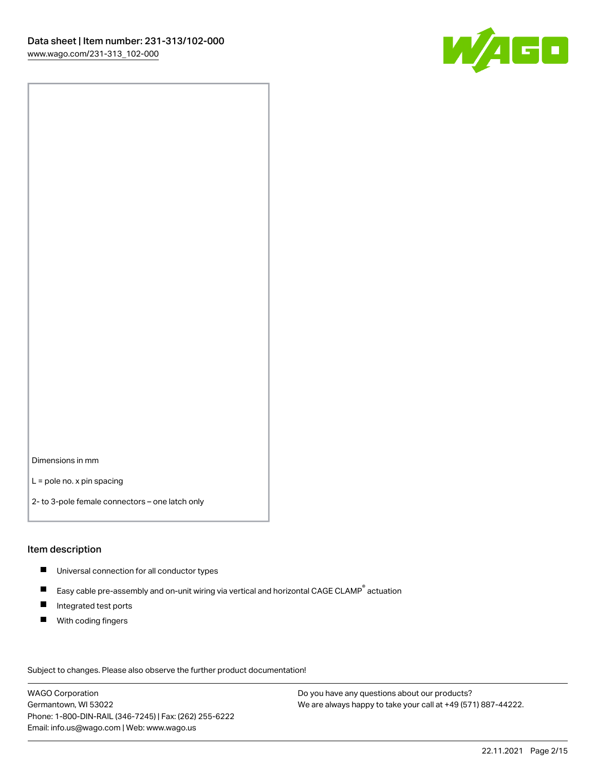

Dimensions in mm

L = pole no. x pin spacing

2- to 3-pole female connectors – one latch only

### Item description

- **Universal connection for all conductor types**
- Easy cable pre-assembly and on-unit wiring via vertical and horizontal CAGE CLAMP<sup>®</sup> actuation  $\blacksquare$
- $\blacksquare$ Integrated test ports
- $\blacksquare$ With coding fingers

Subject to changes. Please also observe the further product documentation! Data

WAGO Corporation Germantown, WI 53022 Phone: 1-800-DIN-RAIL (346-7245) | Fax: (262) 255-6222 Email: info.us@wago.com | Web: www.wago.us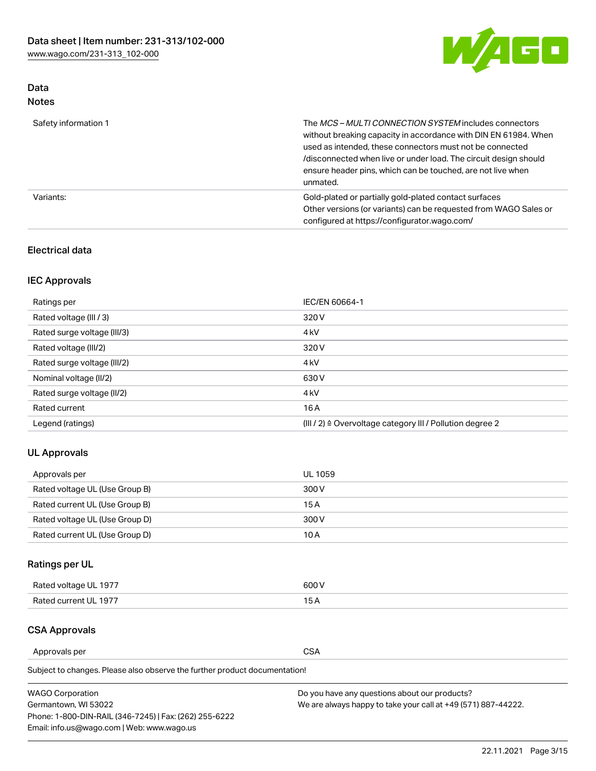

# Data Notes

| Safety information 1 | The MCS-MULTI CONNECTION SYSTEM includes connectors<br>without breaking capacity in accordance with DIN EN 61984. When<br>used as intended, these connectors must not be connected<br>/disconnected when live or under load. The circuit design should<br>ensure header pins, which can be touched, are not live when<br>unmated. |
|----------------------|-----------------------------------------------------------------------------------------------------------------------------------------------------------------------------------------------------------------------------------------------------------------------------------------------------------------------------------|
| Variants:            | Gold-plated or partially gold-plated contact surfaces<br>Other versions (or variants) can be requested from WAGO Sales or<br>configured at https://configurator.wago.com/                                                                                                                                                         |

### Electrical data

# IEC Approvals

| Ratings per                 | IEC/EN 60664-1                                                        |
|-----------------------------|-----------------------------------------------------------------------|
| Rated voltage (III / 3)     | 320 V                                                                 |
| Rated surge voltage (III/3) | 4 <sub>k</sub> V                                                      |
| Rated voltage (III/2)       | 320 V                                                                 |
| Rated surge voltage (III/2) | 4 <sub>k</sub> V                                                      |
| Nominal voltage (II/2)      | 630 V                                                                 |
| Rated surge voltage (II/2)  | 4 <sub>k</sub> V                                                      |
| Rated current               | 16 A                                                                  |
| Legend (ratings)            | $(III / 2)$ $\triangle$ Overvoltage category III / Pollution degree 2 |

# UL Approvals

| Approvals per                  | UL 1059 |
|--------------------------------|---------|
| Rated voltage UL (Use Group B) | 300 V   |
| Rated current UL (Use Group B) | 15 A    |
| Rated voltage UL (Use Group D) | 300 V   |
| Rated current UL (Use Group D) | 10 A    |

# Ratings per UL

| Rated voltage UL 1977 | 300 V |
|-----------------------|-------|
| Rated current UL 1977 |       |

### CSA Approvals

Approvals per CSA

Subject to changes. Please also observe the further product documentation!

| <b>WAGO Corporation</b>                                | Do you have any questions about our products?                 |
|--------------------------------------------------------|---------------------------------------------------------------|
| Germantown, WI 53022                                   | We are always happy to take your call at +49 (571) 887-44222. |
| Phone: 1-800-DIN-RAIL (346-7245)   Fax: (262) 255-6222 |                                                               |
| Email: info.us@wago.com   Web: www.wago.us             |                                                               |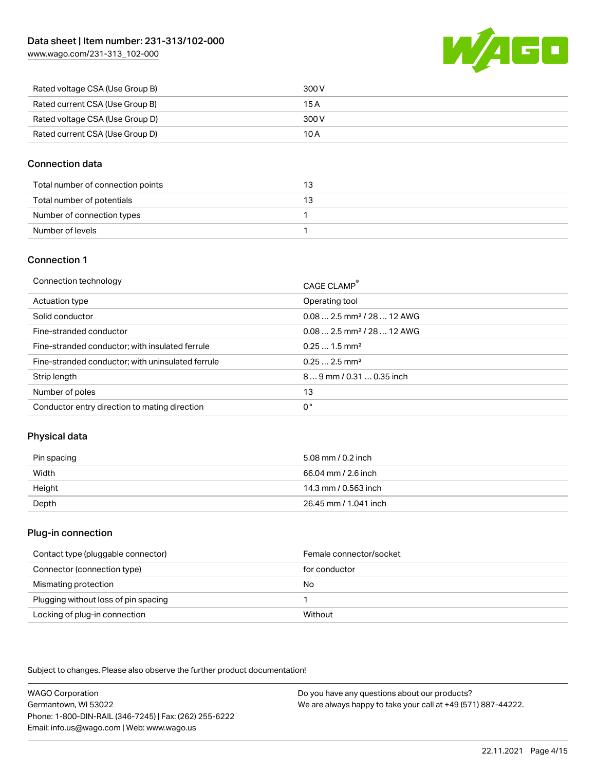[www.wago.com/231-313\\_102-000](http://www.wago.com/231-313_102-000)



| Rated voltage CSA (Use Group B) | 300 V |
|---------------------------------|-------|
| Rated current CSA (Use Group B) | 15 A  |
| Rated voltage CSA (Use Group D) | 300 V |
| Rated current CSA (Use Group D) | 10 A  |

### Connection data

| Total number of connection points |  |
|-----------------------------------|--|
| Total number of potentials        |  |
| Number of connection types        |  |
| Number of levels                  |  |

### Connection 1

| Connection technology                             | CAGE CLAMP®                             |
|---------------------------------------------------|-----------------------------------------|
| Actuation type                                    | Operating tool                          |
| Solid conductor                                   | $0.08$ 2.5 mm <sup>2</sup> / 28  12 AWG |
| Fine-stranded conductor                           | $0.082.5$ mm <sup>2</sup> / 28  12 AWG  |
| Fine-stranded conductor; with insulated ferrule   | $0.251.5$ mm <sup>2</sup>               |
| Fine-stranded conductor; with uninsulated ferrule | $0.252.5$ mm <sup>2</sup>               |
| Strip length                                      | $89$ mm / 0.31  0.35 inch               |
| Number of poles                                   | 13                                      |
| Conductor entry direction to mating direction     | 0°                                      |
|                                                   |                                         |

# Physical data

| Pin spacing | 5.08 mm / 0.2 inch    |
|-------------|-----------------------|
| Width       | 66.04 mm / 2.6 inch   |
| Height      | 14.3 mm / 0.563 inch  |
| Depth       | 26.45 mm / 1.041 inch |

### Plug-in connection

| Contact type (pluggable connector)   | Female connector/socket |
|--------------------------------------|-------------------------|
| Connector (connection type)          | for conductor           |
| Mismating protection                 | No                      |
| Plugging without loss of pin spacing |                         |
| Locking of plug-in connection        | Without                 |

Subject to changes. Please also observe the further product documentation!

WAGO Corporation Germantown, WI 53022 Phone: 1-800-DIN-RAIL (346-7245) | Fax: (262) 255-6222 Email: info.us@wago.com | Web: www.wago.us Do you have any questions about our products? We are always happy to take your call at +49 (571) 887-44222.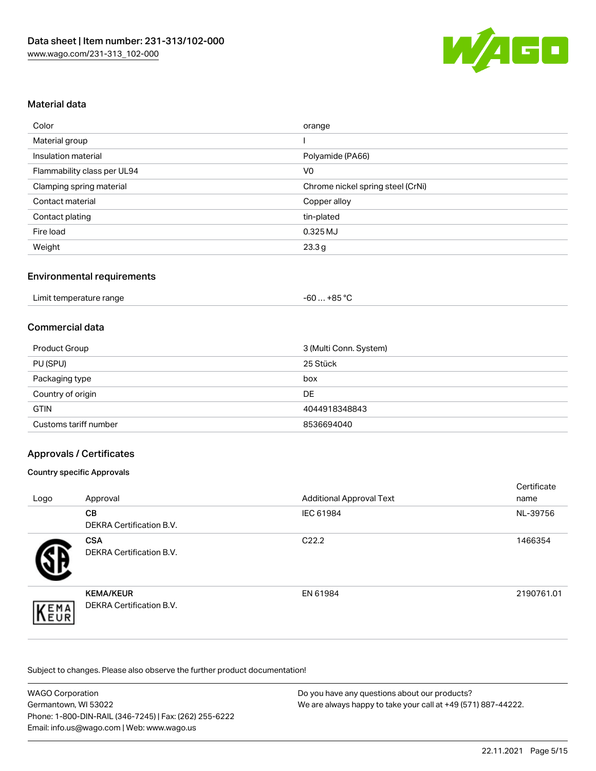

### Material data

| Color                       | orange                            |
|-----------------------------|-----------------------------------|
| Material group              |                                   |
| Insulation material         | Polyamide (PA66)                  |
| Flammability class per UL94 | V <sub>0</sub>                    |
| Clamping spring material    | Chrome nickel spring steel (CrNi) |
| Contact material            | Copper alloy                      |
| Contact plating             | tin-plated                        |
| Fire load                   | 0.325 MJ                          |
| Weight                      | 23.3g                             |

### Environmental requirements

### Commercial data

| Product Group         | 3 (Multi Conn. System) |
|-----------------------|------------------------|
| PU (SPU)              | 25 Stück               |
| Packaging type        | box                    |
| Country of origin     | DE                     |
| <b>GTIN</b>           | 4044918348843          |
| Customs tariff number | 8536694040             |

### Approvals / Certificates

#### Country specific Approvals

| Logo | Approval                                            | <b>Additional Approval Text</b> | Certificate<br>name |
|------|-----------------------------------------------------|---------------------------------|---------------------|
|      | <b>CB</b><br><b>DEKRA Certification B.V.</b>        | IEC 61984                       | NL-39756            |
|      | <b>CSA</b><br>DEKRA Certification B.V.              | C <sub>22.2</sub>               | 1466354             |
| EMA  | <b>KEMA/KEUR</b><br><b>DEKRA Certification B.V.</b> | EN 61984                        | 2190761.01          |

Subject to changes. Please also observe the further product documentation!

| <b>WAGO Corporation</b>                                | Do you have any questions about our products?                 |
|--------------------------------------------------------|---------------------------------------------------------------|
| Germantown, WI 53022                                   | We are always happy to take your call at +49 (571) 887-44222. |
| Phone: 1-800-DIN-RAIL (346-7245)   Fax: (262) 255-6222 |                                                               |
| Email: info.us@wago.com   Web: www.wago.us             |                                                               |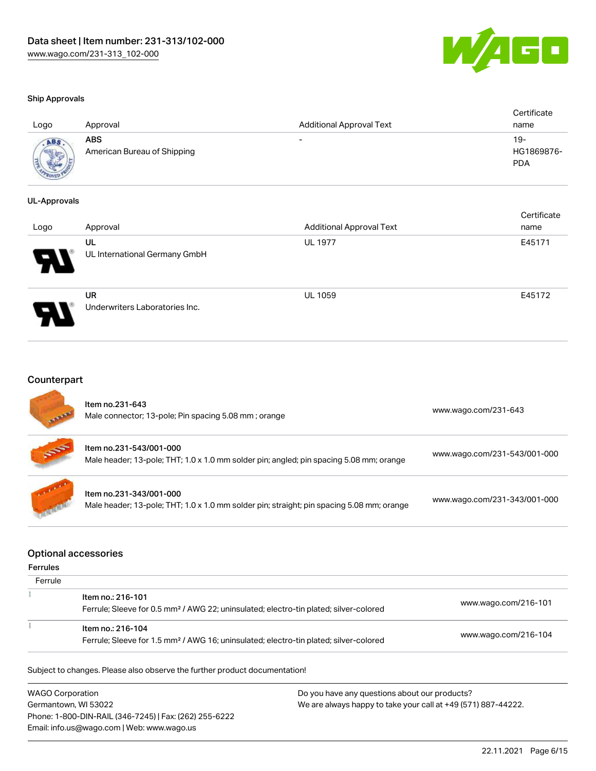

certificate in the control of the control of the control of the control of the control of the control of the control of the control of the control of the control of the control of the control of the control of the control

#### Ship Approvals

| Logo        | Approval                           | <b>Additional Approval Text</b> | Certificate<br>name             |
|-------------|------------------------------------|---------------------------------|---------------------------------|
| <b>ADAR</b> | ABS<br>American Bureau of Shipping | -                               | 19-<br>HG1869876-<br><b>PDA</b> |

#### UL-Approvals

| Logo | Approval                                    | <b>Additional Approval Text</b> | <b>Certificate</b><br>name |
|------|---------------------------------------------|---------------------------------|----------------------------|
| 8    | UL<br>UL International Germany GmbH         | <b>UL 1977</b>                  | E45171                     |
|      | <b>UR</b><br>Underwriters Laboratories Inc. | <b>UL 1059</b>                  | E45172                     |

# **Counterpart**

| <b>All Arms</b> | Item no.231-643<br>Male connector; 13-pole; Pin spacing 5.08 mm; orange                                              | www.wago.com/231-643         |
|-----------------|----------------------------------------------------------------------------------------------------------------------|------------------------------|
| 55              | Item no.231-543/001-000<br>Male header; 13-pole; THT; 1.0 x 1.0 mm solder pin; angled; pin spacing 5.08 mm; orange   | www.wago.com/231-543/001-000 |
|                 | Item no.231-343/001-000<br>Male header; 13-pole; THT; 1.0 x 1.0 mm solder pin; straight; pin spacing 5.08 mm; orange | www.wago.com/231-343/001-000 |

#### Optional accessories

#### Ferrules

| Ferrule |                                                                                                                        |                      |
|---------|------------------------------------------------------------------------------------------------------------------------|----------------------|
|         | Item no.: 216-101<br>Ferrule; Sleeve for 0.5 mm <sup>2</sup> / AWG 22; uninsulated; electro-tin plated; silver-colored | www.wago.com/216-101 |
|         | Item no.: 216-104<br>Ferrule; Sleeve for 1.5 mm <sup>2</sup> / AWG 16; uninsulated; electro-tin plated; silver-colored | www.wago.com/216-104 |

Subject to changes. Please also observe the further product documentation!

WAGO Corporation Germantown, WI 53022 Phone: 1-800-DIN-RAIL (346-7245) | Fax: (262) 255-6222 Email: info.us@wago.com | Web: www.wago.us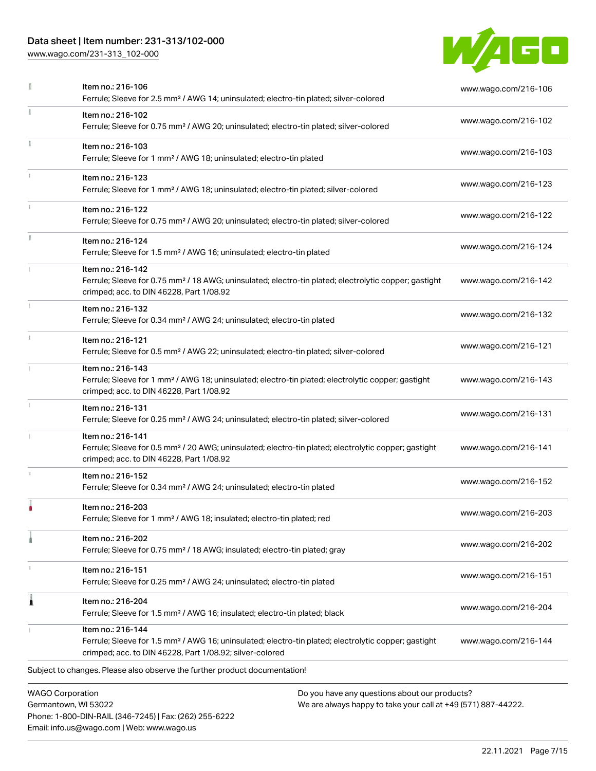# Data sheet | Item number: 231-313/102-000

Phone: 1-800-DIN-RAIL (346-7245) | Fax: (262) 255-6222

Email: info.us@wago.com | Web: www.wago.us

[www.wago.com/231-313\\_102-000](http://www.wago.com/231-313_102-000)



|                         | Item no.: 216-106<br>Ferrule; Sleeve for 2.5 mm <sup>2</sup> / AWG 14; uninsulated; electro-tin plated; silver-colored                                                                            |                                                                                                                | www.wago.com/216-106 |
|-------------------------|---------------------------------------------------------------------------------------------------------------------------------------------------------------------------------------------------|----------------------------------------------------------------------------------------------------------------|----------------------|
|                         | Item no.: 216-102<br>Ferrule; Sleeve for 0.75 mm <sup>2</sup> / AWG 20; uninsulated; electro-tin plated; silver-colored                                                                           |                                                                                                                | www.wago.com/216-102 |
|                         | Item no.: 216-103<br>Ferrule; Sleeve for 1 mm <sup>2</sup> / AWG 18; uninsulated; electro-tin plated                                                                                              |                                                                                                                | www.wago.com/216-103 |
|                         | Item no.: 216-123<br>Ferrule; Sleeve for 1 mm <sup>2</sup> / AWG 18; uninsulated; electro-tin plated; silver-colored                                                                              |                                                                                                                | www.wago.com/216-123 |
|                         | Item no.: 216-122<br>Ferrule; Sleeve for 0.75 mm <sup>2</sup> / AWG 20; uninsulated; electro-tin plated; silver-colored                                                                           |                                                                                                                | www.wago.com/216-122 |
|                         | Item no.: 216-124<br>Ferrule; Sleeve for 1.5 mm <sup>2</sup> / AWG 16; uninsulated; electro-tin plated                                                                                            |                                                                                                                | www.wago.com/216-124 |
|                         | Item no.: 216-142<br>Ferrule; Sleeve for 0.75 mm <sup>2</sup> / 18 AWG; uninsulated; electro-tin plated; electrolytic copper; gastight<br>crimped; acc. to DIN 46228, Part 1/08.92                |                                                                                                                | www.wago.com/216-142 |
|                         | Item no.: 216-132<br>Ferrule; Sleeve for 0.34 mm <sup>2</sup> / AWG 24; uninsulated; electro-tin plated                                                                                           |                                                                                                                | www.wago.com/216-132 |
| $\frac{1}{3}$           | Item no.: 216-121<br>Ferrule; Sleeve for 0.5 mm <sup>2</sup> / AWG 22; uninsulated; electro-tin plated; silver-colored                                                                            |                                                                                                                | www.wago.com/216-121 |
|                         | Item no.: 216-143<br>Ferrule; Sleeve for 1 mm <sup>2</sup> / AWG 18; uninsulated; electro-tin plated; electrolytic copper; gastight<br>crimped; acc. to DIN 46228, Part 1/08.92                   |                                                                                                                | www.wago.com/216-143 |
|                         | Item no.: 216-131<br>Ferrule; Sleeve for 0.25 mm <sup>2</sup> / AWG 24; uninsulated; electro-tin plated; silver-colored                                                                           |                                                                                                                | www.wago.com/216-131 |
|                         | Item no.: 216-141<br>Ferrule; Sleeve for 0.5 mm <sup>2</sup> / 20 AWG; uninsulated; electro-tin plated; electrolytic copper; gastight<br>crimped; acc. to DIN 46228, Part 1/08.92                 |                                                                                                                | www.wago.com/216-141 |
|                         | Item no.: 216-152<br>Ferrule; Sleeve for 0.34 mm <sup>2</sup> / AWG 24; uninsulated; electro-tin plated                                                                                           |                                                                                                                | www.wago.com/216-152 |
|                         | Item no.: 216-203<br>Ferrule; Sleeve for 1 mm <sup>2</sup> / AWG 18; insulated; electro-tin plated; red                                                                                           |                                                                                                                | www.wago.com/216-203 |
|                         | Item no.: 216-202<br>Ferrule; Sleeve for 0.75 mm <sup>2</sup> / 18 AWG; insulated; electro-tin plated; gray                                                                                       |                                                                                                                | www.wago.com/216-202 |
|                         | Item no.: 216-151<br>Ferrule; Sleeve for 0.25 mm <sup>2</sup> / AWG 24; uninsulated; electro-tin plated                                                                                           |                                                                                                                | www.wago.com/216-151 |
| 1                       | Item no.: 216-204<br>Ferrule; Sleeve for 1.5 mm <sup>2</sup> / AWG 16; insulated; electro-tin plated; black                                                                                       |                                                                                                                | www.wago.com/216-204 |
|                         | Item no.: 216-144<br>Ferrule; Sleeve for 1.5 mm <sup>2</sup> / AWG 16; uninsulated; electro-tin plated; electrolytic copper; gastight<br>crimped; acc. to DIN 46228, Part 1/08.92; silver-colored |                                                                                                                | www.wago.com/216-144 |
|                         | Subject to changes. Please also observe the further product documentation!                                                                                                                        |                                                                                                                |                      |
| <b>WAGO Corporation</b> | Germantown, WI 53022                                                                                                                                                                              | Do you have any questions about our products?<br>We are always happy to take your call at +49 (571) 887-44222. |                      |

22.11.2021 Page 7/15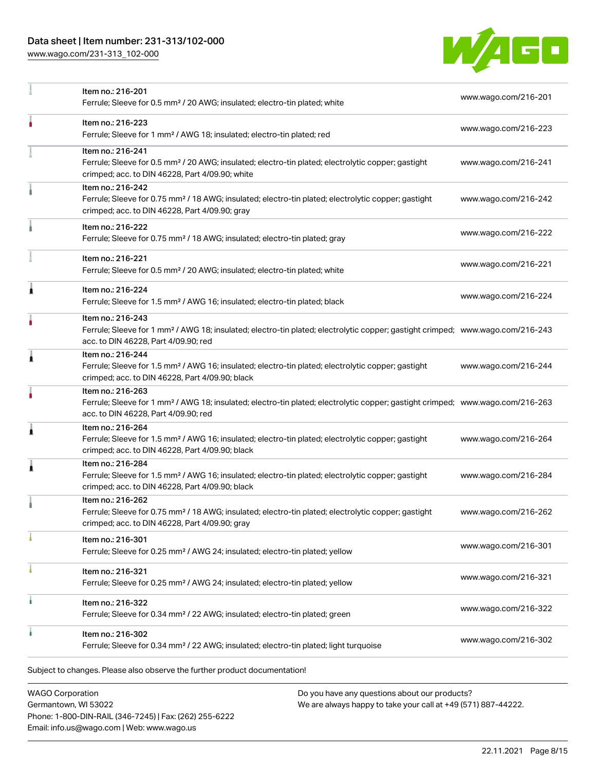# Data sheet | Item number: 231-313/102-000

[www.wago.com/231-313\\_102-000](http://www.wago.com/231-313_102-000)



|   | Item no.: 216-201<br>Ferrule; Sleeve for 0.5 mm <sup>2</sup> / 20 AWG; insulated; electro-tin plated; white                                                                                             | www.wago.com/216-201 |
|---|---------------------------------------------------------------------------------------------------------------------------------------------------------------------------------------------------------|----------------------|
|   | Item no.: 216-223<br>Ferrule; Sleeve for 1 mm <sup>2</sup> / AWG 18; insulated; electro-tin plated; red                                                                                                 | www.wago.com/216-223 |
|   | Item no.: 216-241<br>Ferrule; Sleeve for 0.5 mm <sup>2</sup> / 20 AWG; insulated; electro-tin plated; electrolytic copper; gastight<br>crimped; acc. to DIN 46228, Part 4/09.90; white                  | www.wago.com/216-241 |
|   | Item no.: 216-242<br>Ferrule; Sleeve for 0.75 mm <sup>2</sup> / 18 AWG; insulated; electro-tin plated; electrolytic copper; gastight<br>crimped; acc. to DIN 46228, Part 4/09.90; gray                  | www.wago.com/216-242 |
|   | Item no.: 216-222<br>Ferrule; Sleeve for 0.75 mm <sup>2</sup> / 18 AWG; insulated; electro-tin plated; gray                                                                                             | www.wago.com/216-222 |
|   | Item no.: 216-221<br>Ferrule; Sleeve for 0.5 mm <sup>2</sup> / 20 AWG; insulated; electro-tin plated; white                                                                                             | www.wago.com/216-221 |
| ۸ | Item no.: 216-224<br>Ferrule; Sleeve for 1.5 mm <sup>2</sup> / AWG 16; insulated; electro-tin plated; black                                                                                             | www.wago.com/216-224 |
|   | Item no.: 216-243<br>Ferrule; Sleeve for 1 mm <sup>2</sup> / AWG 18; insulated; electro-tin plated; electrolytic copper; gastight crimped; www.wago.com/216-243<br>acc. to DIN 46228, Part 4/09.90; red |                      |
| Â | Item no.: 216-244<br>Ferrule; Sleeve for 1.5 mm <sup>2</sup> / AWG 16; insulated; electro-tin plated; electrolytic copper; gastight<br>crimped; acc. to DIN 46228, Part 4/09.90; black                  | www.wago.com/216-244 |
|   | Item no.: 216-263<br>Ferrule; Sleeve for 1 mm <sup>2</sup> / AWG 18; insulated; electro-tin plated; electrolytic copper; gastight crimped; www.wago.com/216-263<br>acc. to DIN 46228, Part 4/09.90; red |                      |
| 1 | Item no.: 216-264<br>Ferrule; Sleeve for 1.5 mm <sup>2</sup> / AWG 16; insulated; electro-tin plated; electrolytic copper; gastight<br>crimped; acc. to DIN 46228, Part 4/09.90; black                  | www.wago.com/216-264 |
| 1 | Item no.: 216-284<br>Ferrule; Sleeve for 1.5 mm <sup>2</sup> / AWG 16; insulated; electro-tin plated; electrolytic copper; gastight<br>crimped; acc. to DIN 46228, Part 4/09.90; black                  | www.wago.com/216-284 |
|   | Item no.: 216-262<br>Ferrule; Sleeve for 0.75 mm <sup>2</sup> / 18 AWG; insulated; electro-tin plated; electrolytic copper; gastight<br>crimped; acc. to DIN 46228, Part 4/09.90; gray                  | www.wago.com/216-262 |
|   | Item no.: 216-301<br>Ferrule; Sleeve for 0.25 mm <sup>2</sup> / AWG 24; insulated; electro-tin plated; yellow                                                                                           | www.wago.com/216-301 |
|   | Item no.: 216-321<br>Ferrule; Sleeve for 0.25 mm <sup>2</sup> / AWG 24; insulated; electro-tin plated; yellow                                                                                           | www.wago.com/216-321 |
| ٠ | Item no.: 216-322<br>Ferrule; Sleeve for 0.34 mm <sup>2</sup> / 22 AWG; insulated; electro-tin plated; green                                                                                            | www.wago.com/216-322 |
|   | Item no.: 216-302<br>Ferrule; Sleeve for 0.34 mm <sup>2</sup> / 22 AWG; insulated; electro-tin plated; light turquoise                                                                                  | www.wago.com/216-302 |
|   | Subject to changes. Please also observe the further product documentation!                                                                                                                              |                      |

WAGO Corporation Germantown, WI 53022 Phone: 1-800-DIN-RAIL (346-7245) | Fax: (262) 255-6222 Email: info.us@wago.com | Web: www.wago.us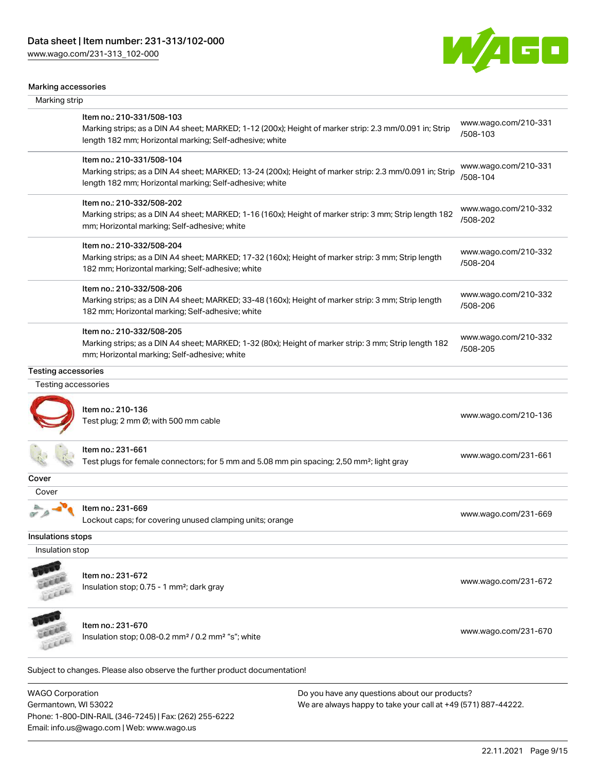Phone: 1-800-DIN-RAIL (346-7245) | Fax: (262) 255-6222

Email: info.us@wago.com | Web: www.wago.us

[www.wago.com/231-313\\_102-000](http://www.wago.com/231-313_102-000)



#### Marking accessories

| Marking strip                                   |                                                                                                                                                                                                 |                                                                                                                |                                  |
|-------------------------------------------------|-------------------------------------------------------------------------------------------------------------------------------------------------------------------------------------------------|----------------------------------------------------------------------------------------------------------------|----------------------------------|
|                                                 | Item no.: 210-331/508-103<br>Marking strips; as a DIN A4 sheet; MARKED; 1-12 (200x); Height of marker strip: 2.3 mm/0.091 in; Strip<br>length 182 mm; Horizontal marking; Self-adhesive; white  |                                                                                                                | www.wago.com/210-331<br>/508-103 |
|                                                 | Item no.: 210-331/508-104<br>Marking strips; as a DIN A4 sheet; MARKED; 13-24 (200x); Height of marker strip: 2.3 mm/0.091 in; Strip<br>length 182 mm; Horizontal marking; Self-adhesive; white |                                                                                                                | www.wago.com/210-331<br>/508-104 |
|                                                 | Item no.: 210-332/508-202<br>Marking strips; as a DIN A4 sheet; MARKED; 1-16 (160x); Height of marker strip: 3 mm; Strip length 182<br>mm; Horizontal marking; Self-adhesive; white             |                                                                                                                | www.wago.com/210-332<br>/508-202 |
|                                                 | Item no.: 210-332/508-204<br>Marking strips; as a DIN A4 sheet; MARKED; 17-32 (160x); Height of marker strip: 3 mm; Strip length<br>182 mm; Horizontal marking; Self-adhesive; white            |                                                                                                                | www.wago.com/210-332<br>/508-204 |
|                                                 | Item no.: 210-332/508-206<br>Marking strips; as a DIN A4 sheet; MARKED; 33-48 (160x); Height of marker strip: 3 mm; Strip length<br>182 mm; Horizontal marking; Self-adhesive; white            |                                                                                                                | www.wago.com/210-332<br>/508-206 |
|                                                 | Item no.: 210-332/508-205<br>Marking strips; as a DIN A4 sheet; MARKED; 1-32 (80x); Height of marker strip: 3 mm; Strip length 182<br>mm; Horizontal marking; Self-adhesive; white              |                                                                                                                | www.wago.com/210-332<br>/508-205 |
| <b>Testing accessories</b>                      |                                                                                                                                                                                                 |                                                                                                                |                                  |
| Testing accessories                             |                                                                                                                                                                                                 |                                                                                                                |                                  |
|                                                 | Item no.: 210-136<br>Test plug; 2 mm Ø; with 500 mm cable                                                                                                                                       |                                                                                                                | www.wago.com/210-136             |
|                                                 | ltem no.: 231-661<br>Test plugs for female connectors; for 5 mm and 5.08 mm pin spacing; 2,50 mm <sup>2</sup> ; light gray                                                                      |                                                                                                                | www.wago.com/231-661             |
| Cover                                           |                                                                                                                                                                                                 |                                                                                                                |                                  |
| Cover                                           |                                                                                                                                                                                                 |                                                                                                                |                                  |
|                                                 | Item no.: 231-669<br>Lockout caps; for covering unused clamping units; orange                                                                                                                   |                                                                                                                | www.wago.com/231-669             |
| Insulations stops                               |                                                                                                                                                                                                 |                                                                                                                |                                  |
| Insulation stop                                 |                                                                                                                                                                                                 |                                                                                                                |                                  |
|                                                 | Item no.: 231-672<br>Insulation stop; 0.75 - 1 mm <sup>2</sup> ; dark gray                                                                                                                      |                                                                                                                | www.wago.com/231-672             |
|                                                 | Item no.: 231-670<br>Insulation stop; 0.08-0.2 mm <sup>2</sup> / 0.2 mm <sup>2</sup> "s"; white                                                                                                 |                                                                                                                | www.wago.com/231-670             |
|                                                 | Subject to changes. Please also observe the further product documentation!                                                                                                                      |                                                                                                                |                                  |
| <b>WAGO Corporation</b><br>Germantown, WI 53022 |                                                                                                                                                                                                 | Do you have any questions about our products?<br>We are always happy to take your call at +49 (571) 887-44222. |                                  |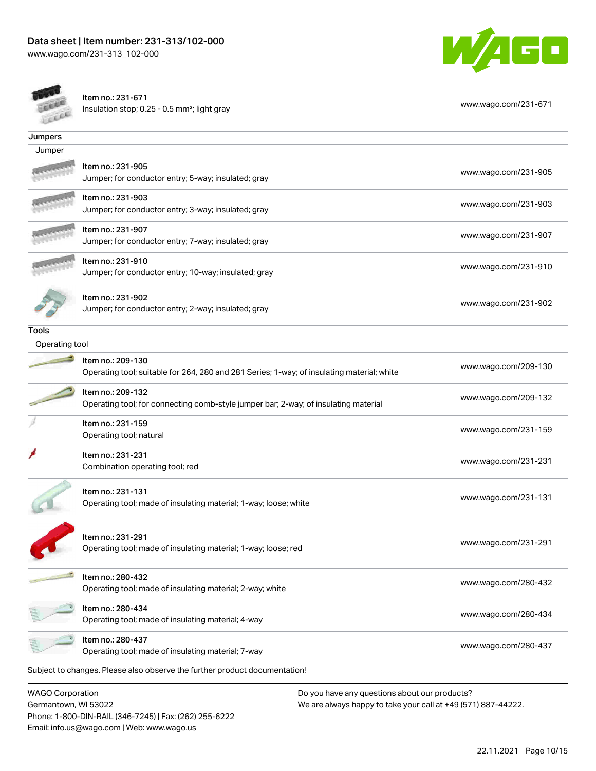



Item no.: 231-671 Insulation stop; 0.25 - 0.5 mm<sup>2</sup>; light gray [www.wago.com/231-671](http://www.wago.com/231-671) www.wago.com/231-671

| Jumpers                 |                                                                                                                 |                      |
|-------------------------|-----------------------------------------------------------------------------------------------------------------|----------------------|
| Jumper                  |                                                                                                                 |                      |
|                         | ltem no.: 231-905<br>Jumper; for conductor entry; 5-way; insulated; gray                                        | www.wago.com/231-905 |
|                         | Item no.: 231-903<br>Jumper; for conductor entry; 3-way; insulated; gray                                        | www.wago.com/231-903 |
|                         | Item no.: 231-907<br>Jumper; for conductor entry; 7-way; insulated; gray                                        | www.wago.com/231-907 |
|                         | Item no.: 231-910<br>Jumper; for conductor entry; 10-way; insulated; gray                                       | www.wago.com/231-910 |
|                         | Item no.: 231-902<br>Jumper; for conductor entry; 2-way; insulated; gray                                        | www.wago.com/231-902 |
| Tools                   |                                                                                                                 |                      |
| Operating tool          |                                                                                                                 |                      |
|                         | Item no.: 209-130<br>Operating tool; suitable for 264, 280 and 281 Series; 1-way; of insulating material; white | www.wago.com/209-130 |
|                         | Item no.: 209-132<br>Operating tool; for connecting comb-style jumper bar; 2-way; of insulating material        | www.wago.com/209-132 |
|                         | Item no.: 231-159<br>Operating tool; natural                                                                    | www.wago.com/231-159 |
|                         | Item no.: 231-231<br>Combination operating tool; red                                                            | www.wago.com/231-231 |
|                         | Item no.: 231-131<br>Operating tool; made of insulating material; 1-way; loose; white                           | www.wago.com/231-131 |
|                         | ltem no.: 231-291<br>Operating tool; made of insulating material; 1-way; loose; red                             | www.wago.com/231-291 |
|                         | Item no.: 280-432<br>Operating tool; made of insulating material; 2-way; white                                  | www.wago.com/280-432 |
|                         | Item no.: 280-434<br>Operating tool; made of insulating material; 4-way                                         | www.wago.com/280-434 |
|                         | Item no.: 280-437<br>Operating tool; made of insulating material; 7-way                                         | www.wago.com/280-437 |
|                         | Subject to changes. Please also observe the further product documentation!                                      |                      |
| <b>WAGO Corporation</b> | Do you have any questions about our products?                                                                   |                      |

Germantown, WI 53022 Phone: 1-800-DIN-RAIL (346-7245) | Fax: (262) 255-6222 Email: info.us@wago.com | Web: www.wago.us

We are always happy to take your call at +49 (571) 887-44222.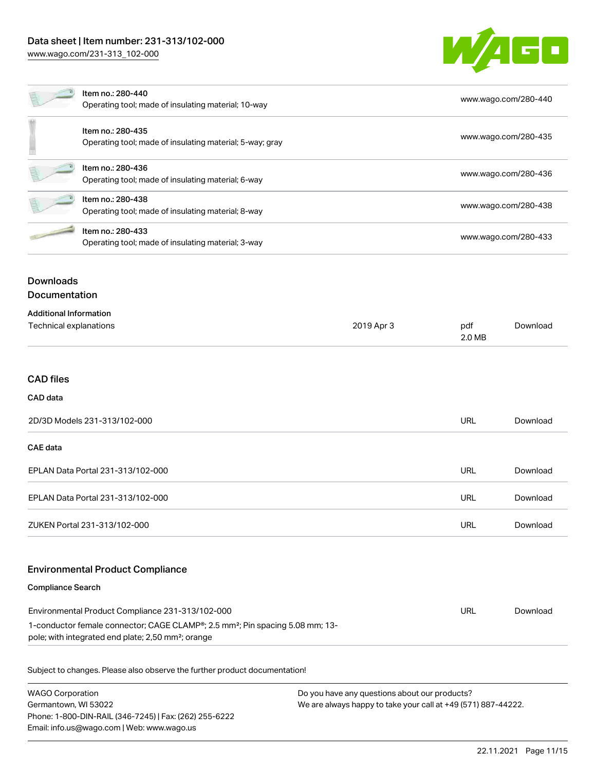

| Item no.: 280-440<br>Operating tool; made of insulating material; 10-way      | www.wago.com/280-440 |
|-------------------------------------------------------------------------------|----------------------|
| Item no.: 280-435<br>Operating tool; made of insulating material; 5-way; gray | www.wago.com/280-435 |
| Item no.: 280-436<br>Operating tool; made of insulating material; 6-way       | www.wago.com/280-436 |
| Item no.: 280-438<br>Operating tool; made of insulating material; 8-way       | www.wago.com/280-438 |
| Item no.: 280-433<br>Operating tool; made of insulating material; 3-way       | www.wago.com/280-433 |

# Downloads Documentation

| <b>Additional Information</b> |            |               |          |
|-------------------------------|------------|---------------|----------|
| Technical explanations        | 2019 Apr 3 | pdf<br>2.0 MB | Download |
|                               |            |               |          |

# CAD files

### CAD data

| 2D/3D Models 231-313/102-000      | URL | Download |
|-----------------------------------|-----|----------|
| <b>CAE</b> data                   |     |          |
| EPLAN Data Portal 231-313/102-000 | URL | Download |
| EPLAN Data Portal 231-313/102-000 | URL | Download |
| ZUKEN Portal 231-313/102-000      | URL | Download |

### Environmental Product Compliance

#### Compliance Search

| Environmental Product Compliance 231-313/102-000                                                       | URL | Download |
|--------------------------------------------------------------------------------------------------------|-----|----------|
| 1-conductor female connector; CAGE CLAMP <sup>®</sup> ; 2.5 mm <sup>2</sup> ; Pin spacing 5.08 mm; 13- |     |          |
| pole; with integrated end plate; 2,50 mm <sup>2</sup> ; orange                                         |     |          |

Subject to changes. Please also observe the further product documentation!

| WAGO Corporation                                       | Do you have any questions about our products?                 |
|--------------------------------------------------------|---------------------------------------------------------------|
| Germantown. WI 53022                                   | We are always happy to take your call at +49 (571) 887-44222. |
| Phone: 1-800-DIN-RAIL (346-7245)   Fax: (262) 255-6222 |                                                               |
| Email: info.us@wago.com   Web: www.wago.us             |                                                               |
|                                                        |                                                               |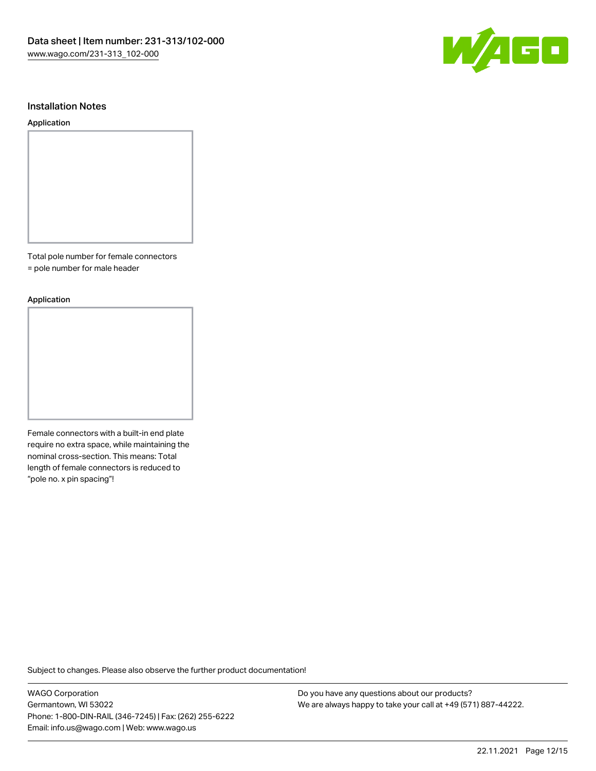

#### Installation Notes

#### Application

Total pole number for female connectors

= pole number for male header

#### Application

Female connectors with a built-in end plate require no extra space, while maintaining the nominal cross-section. This means: Total length of female connectors is reduced to "pole no. x pin spacing"!

Subject to changes. Please also observe the further product documentation!

WAGO Corporation Germantown, WI 53022 Phone: 1-800-DIN-RAIL (346-7245) | Fax: (262) 255-6222 Email: info.us@wago.com | Web: www.wago.us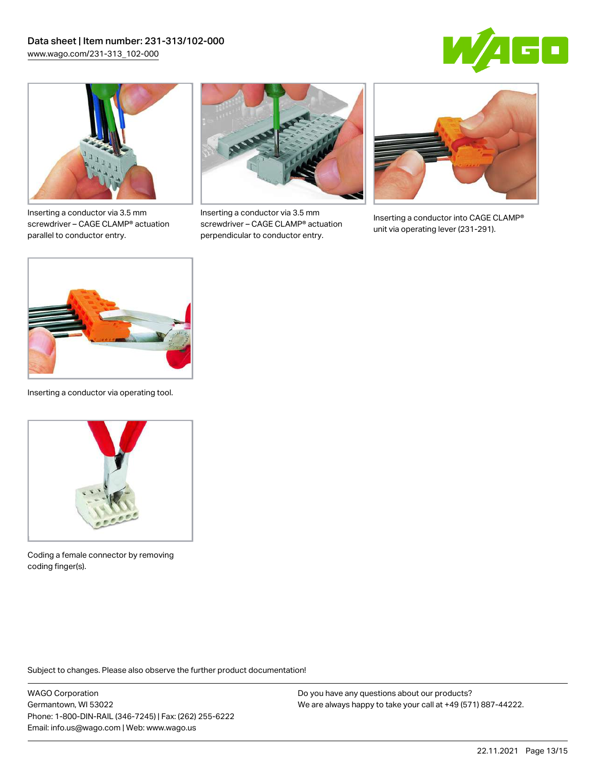



Inserting a conductor via 3.5 mm screwdriver – CAGE CLAMP® actuation parallel to conductor entry.



Inserting a conductor via 3.5 mm screwdriver – CAGE CLAMP® actuation perpendicular to conductor entry.



Inserting a conductor into CAGE CLAMP® unit via operating lever (231-291).



Inserting a conductor via operating tool.



Coding a female connector by removing coding finger(s).

Subject to changes. Please also observe the further product documentation!

WAGO Corporation Germantown, WI 53022 Phone: 1-800-DIN-RAIL (346-7245) | Fax: (262) 255-6222 Email: info.us@wago.com | Web: www.wago.us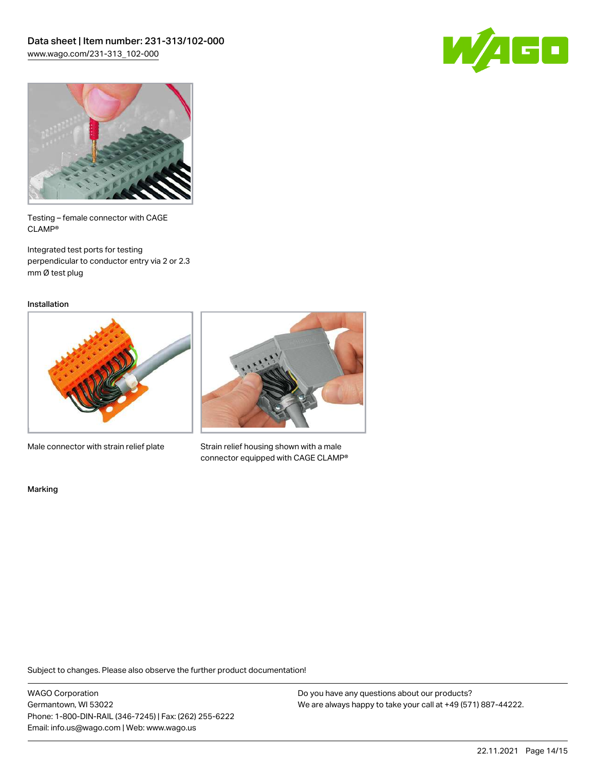



Testing – female connector with CAGE CLAMP®

Integrated test ports for testing perpendicular to conductor entry via 2 or 2.3 mm Ø test plug

Installation



Male connector with strain relief plate



Strain relief housing shown with a male connector equipped with CAGE CLAMP®

Marking

Subject to changes. Please also observe the further product documentation!

WAGO Corporation Germantown, WI 53022 Phone: 1-800-DIN-RAIL (346-7245) | Fax: (262) 255-6222 Email: info.us@wago.com | Web: www.wago.us